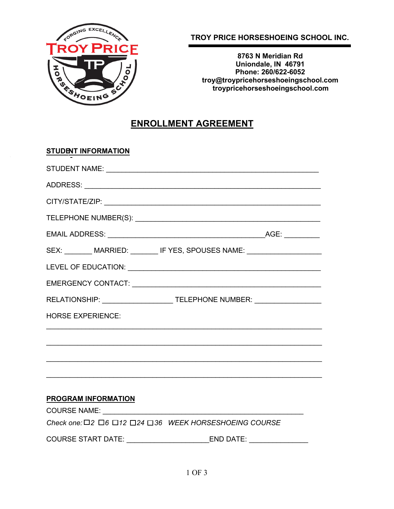

**TROY PRICE HORSESHOEING SCHOOL INC.**

**8763 N Meridian Rd Uniondale, IN 46791 Phone: 260/622-6052 troy@troypricehorseshoeingschool.com troypricehorseshoeingschool.com**

# **ENROLLMENT AGREEMENT**

| <u>STUDENT INFORMATION</u>                                                          |
|-------------------------------------------------------------------------------------|
|                                                                                     |
|                                                                                     |
|                                                                                     |
|                                                                                     |
|                                                                                     |
| SEX: ________ MARRIED: _______ IF YES, SPOUSES NAME: ____________________           |
|                                                                                     |
|                                                                                     |
| RELATIONSHIP: ________________________TELEPHONE NUMBER: ________________________    |
| <b>HORSE EXPERIENCE:</b>                                                            |
|                                                                                     |
| ,我们也不能在这里的时候,我们也不能在这里的时候,我们也不能在这里的时候,我们也不能会在这里的时候,我们也不能会在这里的时候,我们也不能会在这里的时候,我们也不    |
|                                                                                     |
|                                                                                     |
| PROGRAM INFORMATION                                                                 |
| Check one: $\Box$ 2 $\Box$ 6 $\Box$ 12 $\Box$ 24 $\Box$ 36 WEEK HORSESHOEING COURSE |
| <b>COURSE START DATE:</b><br>_____END DATE:                                         |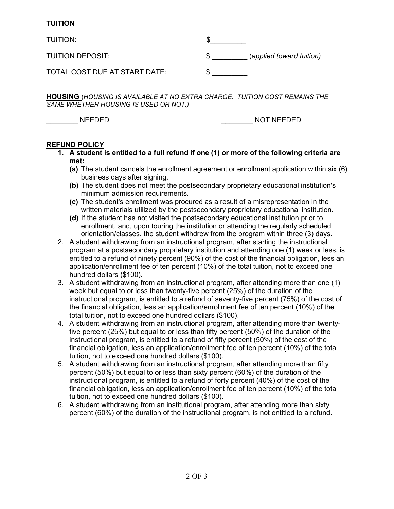## **TUITION**

| TUITION:                      |                          |
|-------------------------------|--------------------------|
| TUITION DEPOSIT:              | (applied toward tuition) |
| TOTAL COST DUE AT START DATE: |                          |

**HOUSING** (*HOUSING IS AVAILABLE AT NO EXTRA CHARGE. TUITION COST REMAINS THE SAME WHETHER HOUSING IS USED OR NOT.)*

\_\_\_\_\_\_\_\_ NEEDED \_\_\_\_\_\_\_\_ NOT NEEDED

## **REFUND POLICY**

- **1. A student is entitled to a full refund if one (1) or more of the following criteria are met:**
	- **(a)** The student cancels the enrollment agreement or enrollment application within six (6) business days after signing.
	- **(b)** The student does not meet the postsecondary proprietary educational institution's minimum admission requirements.
	- **(c)** The student's enrollment was procured as a result of a misrepresentation in the written materials utilized by the postsecondary proprietary educational institution.
	- **(d)** If the student has not visited the postsecondary educational institution prior to enrollment, and, upon touring the institution or attending the regularly scheduled orientation/classes, the student withdrew from the program within three (3) days.
- 2. A student withdrawing from an instructional program, after starting the instructional program at a postsecondary proprietary institution and attending one (1) week or less, is entitled to a refund of ninety percent (90%) of the cost of the financial obligation, less an application/enrollment fee of ten percent (10%) of the total tuition, not to exceed one hundred dollars (\$100).
- 3. A student withdrawing from an instructional program, after attending more than one (1) week but equal to or less than twenty-five percent (25%) of the duration of the instructional program, is entitled to a refund of seventy-five percent (75%) of the cost of the financial obligation, less an application/enrollment fee of ten percent (10%) of the total tuition, not to exceed one hundred dollars (\$100).
- 4. A student withdrawing from an instructional program, after attending more than twentyfive percent (25%) but equal to or less than fifty percent (50%) of the duration of the instructional program, is entitled to a refund of fifty percent (50%) of the cost of the financial obligation, less an application/enrollment fee of ten percent (10%) of the total tuition, not to exceed one hundred dollars (\$100).
- 5. A student withdrawing from an instructional program, after attending more than fifty percent (50%) but equal to or less than sixty percent (60%) of the duration of the instructional program, is entitled to a refund of forty percent (40%) of the cost of the financial obligation, less an application/enrollment fee of ten percent (10%) of the total tuition, not to exceed one hundred dollars (\$100).
- 6. A student withdrawing from an institutional program, after attending more than sixty percent (60%) of the duration of the instructional program, is not entitled to a refund.